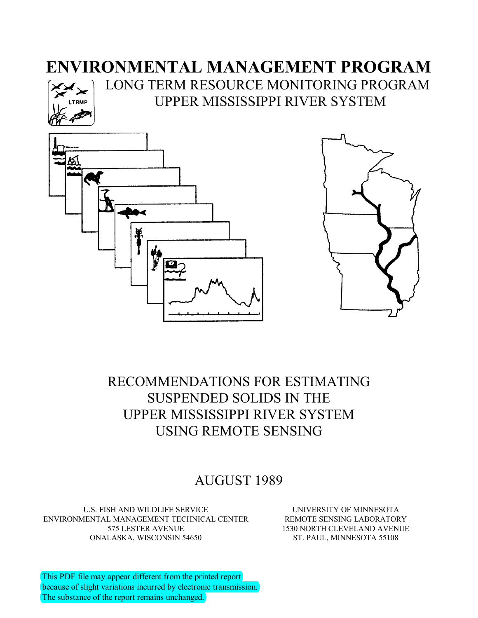# **ENVIRONMENTAL MANAGEMENT PROGRAM**



LONG TERM RESOURCE MONITORING PROGRAM UPPER MISSISSIPPI RIVER SYSTEM





# RECOMMENDATIONS FOR ESTIMATING SUSPENDED SOLIDS IN THE UPPER MISSISSIPPI RIVER SYSTEM USING REMOTE SENSING

# AUGUST 1989

U.S. FISH AND WILDLIFE SERVICE ENVIRONMENTAL MANAGEMENT TECHNICAL CENTER 575 LESTER AVENUE ONALASKA, WISCONSIN 54650

UNIVERSITY OF MINNESOTA REMOTE SENSING LABORATORY 1530 NORTH CLEVELAND AVENUE ST. PAUL, MINNESOTA 55108

This PDF file may appear different from the printed report because of slight variations incurred by electronic transmission. The substance of the report remains unchanged.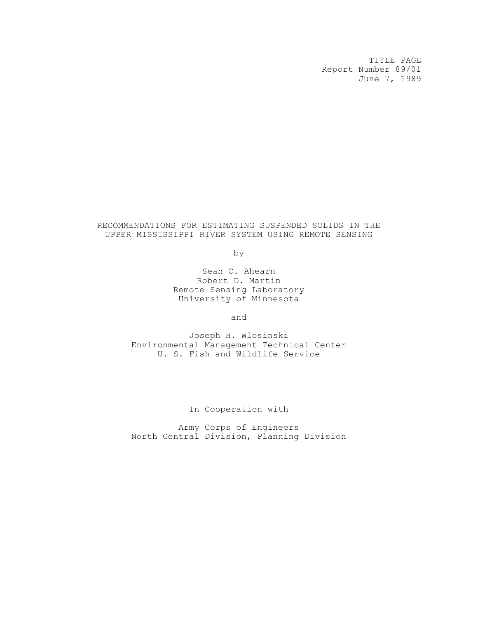TITLE PAGE Report Number 89/01 June 7, 1989

# RECOMMENDATIONS FOR ESTIMATING SUSPENDED SOLIDS IN THE UPPER MISSISSIPPI RIVER SYSTEM USING REMOTE SENSING

by

Sean C. Ahearn Robert D. Martin Remote Sensing Laboratory University of Minnesota

and

Joseph H. Wlosinski Environmental Management Technical Center U. S. Fish and Wildlife Service

In Cooperation with

Army Corps of Engineers North Central Division, Planning Division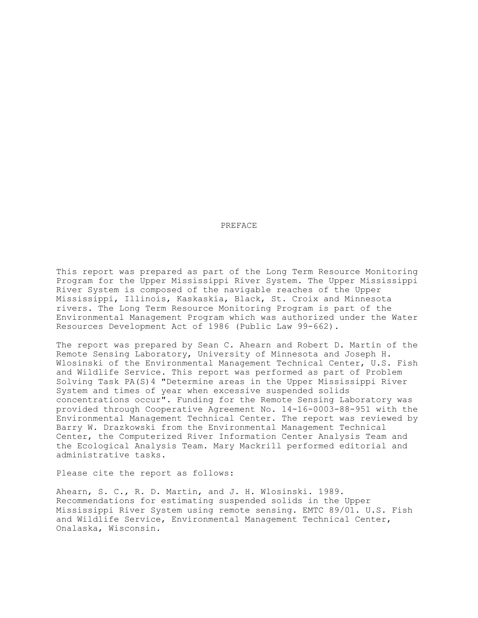#### PREFACE

This report was prepared as part of the Long Term Resource Monitoring Program for the Upper Mississippi River System. The Upper Mississippi River System is composed of the navigable reaches of the Upper Mississippi, Illinois, Kaskaskia, Black, St. Croix and Minnesota rivers. The Long Term Resource Monitoring Program is part of the Environmental Management Program which was authorized under the Water Resources Development Act of 1986 (Public Law 99-662).

The report was prepared by Sean C. Ahearn and Robert D. Martin of the Remote Sensing Laboratory, University of Minnesota and Joseph H. Wlosinski of the Environmental Management Technical Center, U.S. Fish and Wildlife Service. This report was performed as part of Problem Solving Task PA(S)4 "Determine areas in the Upper Mississippi River System and times of year when excessive suspended solids concentrations occur". Funding for the Remote Sensing Laboratory was provided through Cooperative Agreement No. 14-16-0003-88-951 with the Environmental Management Technical Center. The report was reviewed by Barry W. Drazkowski from the Environmental Management Technical Center, the Computerized River Information Center Analysis Team and the Ecological Analysis Team. Mary Mackrill performed editorial and administrative tasks.

Please cite the report as follows:

Ahearn, S. C., R. D. Martin, and J. H. Wlosinski. 1989. Recommendations for estimating suspended solids in the Upper Mississippi River System using remote sensing. EMTC 89/01. U.S. Fish and Wildlife Service, Environmental Management Technical Center, Onalaska, Wisconsin.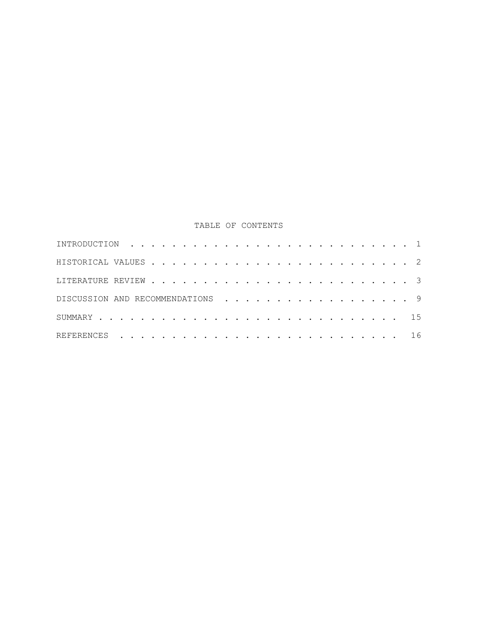# TABLE OF CONTENTS

| DISCUSSION AND RECOMMENDATIONS 9 |  |  |  |  |  |  |  |  |  |  |  |  |  |  |
|----------------------------------|--|--|--|--|--|--|--|--|--|--|--|--|--|--|
|                                  |  |  |  |  |  |  |  |  |  |  |  |  |  |  |
|                                  |  |  |  |  |  |  |  |  |  |  |  |  |  |  |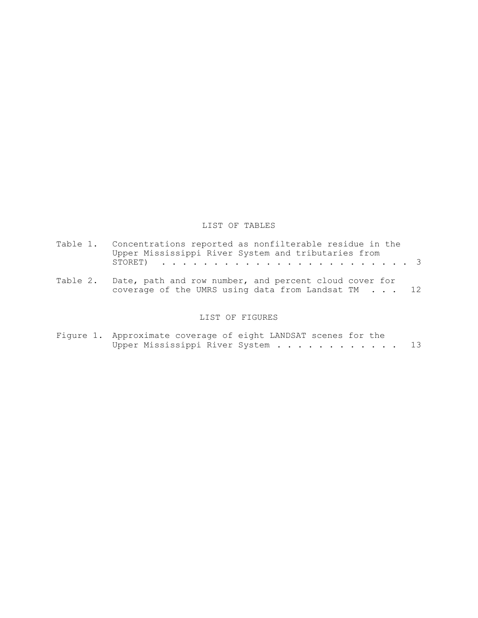# LIST OF TABLES

| Table 1. Concentrations reported as nonfilterable residue in the<br>Upper Mississippi River System and tributaries from |
|-------------------------------------------------------------------------------------------------------------------------|
|                                                                                                                         |
| Table 2. Date, path and row number, and percent cloud cover for<br>coverage of the UMRS using data from Landsat TM 12   |

# LIST OF FIGURES

| Figure 1. Approximate coverage of eight LANDSAT scenes for the |  |  |                                |  |  |  |  |  |    |
|----------------------------------------------------------------|--|--|--------------------------------|--|--|--|--|--|----|
|                                                                |  |  | Upper Mississippi River System |  |  |  |  |  | 13 |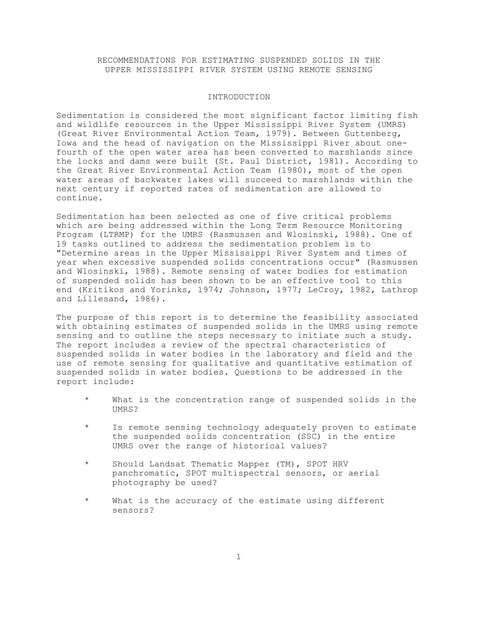RECOMMENDATIONS FOR ESTIMATING SUSPENDED SOLIDS IN THE UPPER MISSISSIPPI RIVER SYSTEM USING REMOTE SENSING

#### INTRODUCTION

Sedimentation is considered the most significant factor limiting fish and wildlife resources in the Upper Mississippi River System (UMRS) (Great River Environmental Action Team, 1979). Between Guttenberg, Iowa and the head of navigation on the Mississippi River about onefourth of the open water area has been converted to marshlands since the locks and dams were built (St. Paul District, 1981). According to the Great River Environmental Action Team (1980), most of the open water areas of backwater lakes will succeed to marshlands within the next century if reported rates of sedimentation are allowed to continue.

Sedimentation has been selected as one of five critical problems which are being addressed within the Long Term Resource Monitoring Program (LTRMP) for the UMRS (Rasmussen and Wlosinski, 1988). One of 19 tasks outlined to address the sedimentation problem is to "Determine areas in the Upper Mississippi River System and times of year when excessive suspended solids concentrations occur" (Rasmussen and Wlosinski, 1988). Remote sensing of water bodies for estimation of suspended solids has been shown to be an effective tool to this end (Kritikos and Yorinks, 1974; Johnson, 1977; LeCroy, 1982, Lathrop and Lillesand, 1986).

The purpose of this report is to determine the feasibility associated with obtaining estimates of suspended solids in the UMRS using remote sensing and to outline the steps necessary to initiate such a study. The report includes a review of the spectral characteristics of suspended solids in water bodies in the laboratory and field and the use of remote sensing for qualitative and quantitative estimation of suspended solids in water bodies. Questions to be addressed in the report include:

- What is the concentration range of suspended solids in the UMRS?
- Is remote sensing technology adequately proven to estimate the suspended solids concentration (SSC) in the entire UMRS over the range of historical values?
- \* Should Landsat Thematic Mapper (TM), SPOT HRV panchromatic, SPOT multispectral sensors, or aerial photography be used?
- \* What is the accuracy of the estimate using different sensors?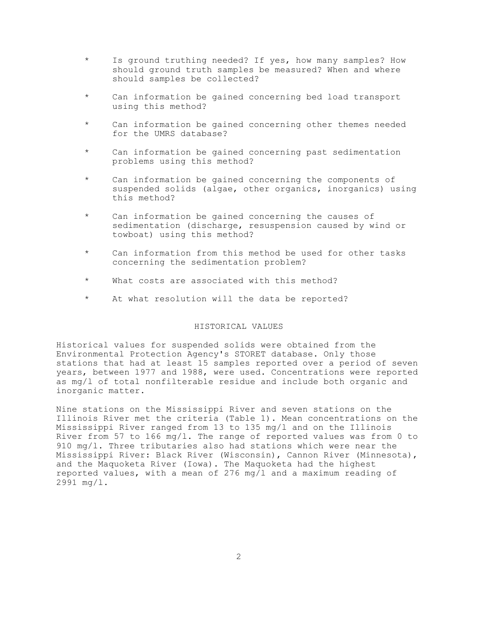- Is ground truthing needed? If yes, how many samples? How should ground truth samples be measured? When and where should samples be collected?
- \* Can information be gained concerning bed load transport using this method?
- Can information be gained concerning other themes needed for the UMRS database?
- \* Can information be gained concerning past sedimentation problems using this method?
- \* Can information be gained concerning the components of suspended solids (algae, other organics, inorganics) using this method?
- \* Can information be gained concerning the causes of sedimentation (discharge, resuspension caused by wind or towboat) using this method?
- \* Can information from this method be used for other tasks concerning the sedimentation problem?
- \* What costs are associated with this method?
- \* At what resolution will the data be reported?

# HISTORICAL VALUES

Historical values for suspended solids were obtained from the Environmental Protection Agency's STORET database. Only those stations that had at least 15 samples reported over a period of seven years, between 1977 and 1988, were used. Concentrations were reported as mg/l of total nonfilterable residue and include both organic and inorganic matter.

Nine stations on the Mississippi River and seven stations on the Illinois River met the criteria (Table 1). Mean concentrations on the Mississippi River ranged from 13 to 135 mg/l and on the Illinois River from 57 to 166 mg/l. The range of reported values was from 0 to 910 mg/l. Three tributaries also had stations which were near the Mississippi River: Black River (Wisconsin), Cannon River (Minnesota), and the Maquoketa River (Iowa). The Maquoketa had the highest reported values, with a mean of 276 mg/l and a maximum reading of 2991 mg/l.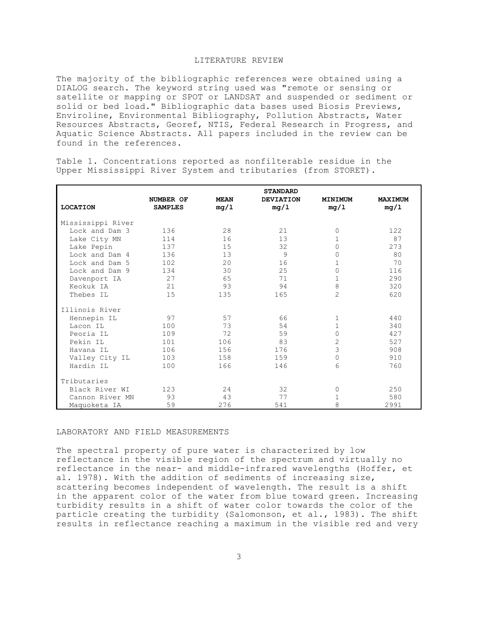# LITERATURE REVIEW

The majority of the bibliographic references were obtained using a DIALOG search. The keyword string used was "remote or sensing or satellite or mapping or SPOT or LANDSAT and suspended or sediment or solid or bed load." Bibliographic data bases used Biosis Previews, Enviroline, Environmental Bibliography, Pollution Abstracts, Water Resources Abstracts, Georef, NTIS, Federal Research in Progress, and Aquatic Science Abstracts. All papers included in the review can be found in the references.

Table 1. Concentrations reported as nonfilterable residue in the Upper Mississippi River System and tributaries (from STORET).

|                   |                |             | <b>STANDARD</b>  |                |                |
|-------------------|----------------|-------------|------------------|----------------|----------------|
|                   | NUMBER OF      | <b>MEAN</b> | <b>DEVIATION</b> | MINIMUM        | <b>MAXIMUM</b> |
| <b>LOCATION</b>   | <b>SAMPLES</b> | mg/1        | mq/1             | mq/1           | mq/1           |
|                   |                |             |                  |                |                |
| Mississippi River |                |             |                  |                |                |
| Lock and Dam 3    | 136            | 28          | 21               | 0              | 122            |
| Lake City MN      | 114            | 16          | 13               | 1              | 87             |
| Lake Pepin        | 137            | 15          | 32               | $\Omega$       | 273            |
| Lock and Dam 4    | 136            | 13          | 9                | 0              | 80             |
| Lock and Dam 5    | 102            | 20          | 16               | 1              | 70             |
| Lock and Dam 9    | 134            | 30          | 25               | 0              | 116            |
| Davenport IA      | 27             | 65          | 71               | 1              | 290            |
| Keokuk IA         | 21             | 93          | 94               | 8              | 320            |
| Thebes IL         | 15             | 135         | 165              | $\overline{2}$ | 620            |
| Illinois River    |                |             |                  |                |                |
| Hennepin IL       | 97             | 57          | 66               | 1              | 440            |
| Lacon IL          | 100            | 73          | 54               | $\mathbf{1}$   | 340            |
| Peoria IL         | 109            | 72          | 59               | 0              | 427            |
| Pekin IL          | 101            | 106         | 83               | $\overline{2}$ | 527            |
| Havana IL         | 106            | 156         | 176              | 3              | 908            |
| Valley City IL    | 103            | 158         | 159              | 0              | 910            |
| Hardin IL         | 100            | 166         | 146              | 6              | 760            |
|                   |                |             |                  |                |                |
| Tributaries       |                |             |                  |                |                |
| Black River WI    | 123            | 24          | 32               | 0              | 250            |
| Cannon River MN   | 93             | 43          | 77               | 1              | 580            |
| Maquoketa IA      | 59             | 276         | 541              | 8              | 2991           |

LABORATORY AND FIELD MEASUREMENTS

The spectral property of pure water is characterized by low reflectance in the visible region of the spectrum and virtually no reflectance in the near- and middle-infrared wavelengths (Hoffer, et al. 1978). With the addition of sediments of increasing size, scattering becomes independent of wavelength. The result is a shift in the apparent color of the water from blue toward green. Increasing turbidity results in a shift of water color towards the color of the particle creating the turbidity (Salomonson, et al., 1983). The shift results in reflectance reaching a maximum in the visible red and very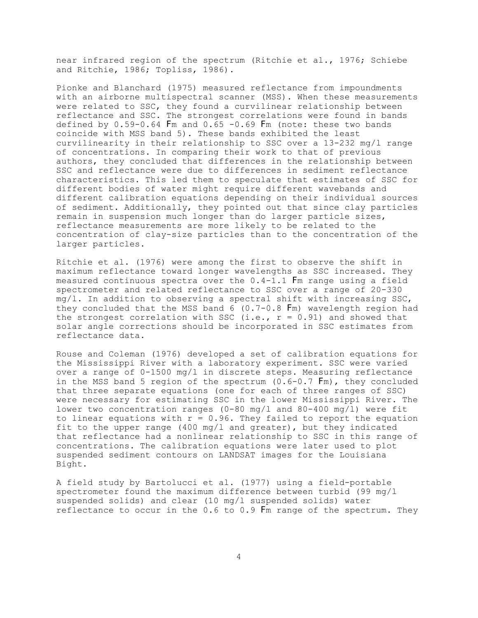near infrared region of the spectrum (Ritchie et al., 1976; Schiebe and Ritchie, 1986; Topliss, 1986).

Pionke and Blanchard (1975) measured reflectance from impoundments with an airborne multispectral scanner (MSS). When these measurements were related to SSC, they found a curvilinear relationship between reflectance and SSC. The strongest correlations were found in bands defined by  $0.59-0.64$  Fm and  $0.65$  -0.69 Fm (note: these two bands coincide with MSS band 5). These bands exhibited the least curvilinearity in their relationship to SSC over a 13-232 mg/l range of concentrations. In comparing their work to that of previous authors, they concluded that differences in the relationship between SSC and reflectance were due to differences in sediment reflectance characteristics. This led them to speculate that estimates of SSC for different bodies of water might require different wavebands and different calibration equations depending on their individual sources of sediment. Additionally, they pointed out that since clay particles remain in suspension much longer than do larger particle sizes, reflectance measurements are more likely to be related to the concentration of clay-size particles than to the concentration of the larger particles.

Ritchie et al. (1976) were among the first to observe the shift in maximum reflectance toward longer wavelengths as SSC increased. They measured continuous spectra over the 0.4-1.1 Fm range using a field spectrometer and related reflectance to SSC over a range of 20-330  $mg/1$ . In addition to observing a spectral shift with increasing SSC, they concluded that the MSS band 6 (0.7-0.8 Fm) wavelength region had the strongest correlation with SSC (i.e.,  $r = 0.91$ ) and showed that solar angle corrections should be incorporated in SSC estimates from reflectance data.

Rouse and Coleman (1976) developed a set of calibration equations for the Mississippi River with a laboratory experiment. SSC were varied over a range of 0-1500 mg/l in discrete steps. Measuring reflectance in the MSS band 5 region of the spectrum (0.6-0.7 Fm), they concluded that three separate equations (one for each of three ranges of SSC) were necessary for estimating SSC in the lower Mississippi River. The lower two concentration ranges (0-80 mg/l and 80-400 mg/l) were fit to linear equations with  $r = 0.96$ . They failed to report the equation fit to the upper range (400 mg/l and greater), but they indicated that reflectance had a nonlinear relationship to SSC in this range of concentrations. The calibration equations were later used to plot suspended sediment contours on LANDSAT images for the Louisiana Bight.

A field study by Bartolucci et al. (1977) using a field-portable spectrometer found the maximum difference between turbid (99 mg/l suspended solids) and clear (10 mg/l suspended solids) water reflectance to occur in the 0.6 to 0.9 Fm range of the spectrum. They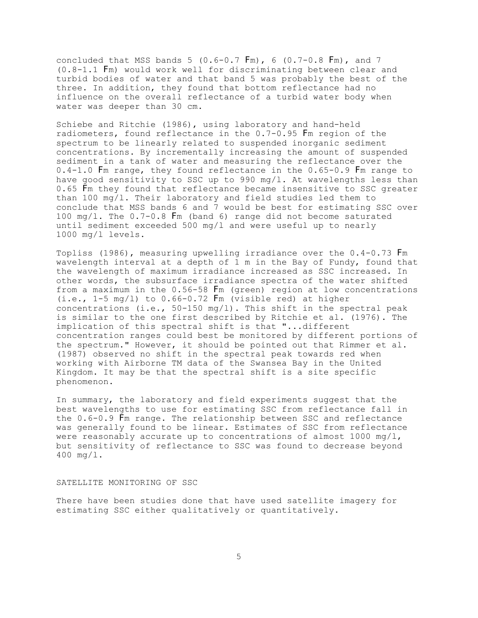concluded that MSS bands 5 (0.6-0.7 Fm), 6 (0.7-0.8 Fm), and 7 (0.8-1.1 Fm) would work well for discriminating between clear and turbid bodies of water and that band 5 was probably the best of the three. In addition, they found that bottom reflectance had no influence on the overall reflectance of a turbid water body when water was deeper than 30 cm.

Schiebe and Ritchie (1986), using laboratory and hand-held radiometers, found reflectance in the 0.7-0.95 Fm region of the spectrum to be linearly related to suspended inorganic sediment concentrations. By incrementally increasing the amount of suspended sediment in a tank of water and measuring the reflectance over the 0.4-1.0 Fm range, they found reflectance in the 0.65-0.9 Fm range to have good sensitivity to SSC up to 990 mg/l. At wavelengths less than 0.65 Fm they found that reflectance became insensitive to SSC greater than 100 mg/l. Their laboratory and field studies led them to conclude that MSS bands 6 and 7 would be best for estimating SSC over 100 mg/l. The 0.7-0.8 Fm (band 6) range did not become saturated until sediment exceeded 500 mg/l and were useful up to nearly 1000 mg/l levels.

Topliss (1986), measuring upwelling irradiance over the 0.4-0.73 Fm wavelength interval at a depth of 1 m in the Bay of Fundy, found that the wavelength of maximum irradiance increased as SSC increased. In other words, the subsurface irradiance spectra of the water shifted from a maximum in the 0.56-58 Fm (green) region at low concentrations  $(i.e., 1-5 mg/l)$  to  $0.66-0.72$  Fm (visible red) at higher concentrations (i.e.,  $50-150$  mg/l). This shift in the spectral peak is similar to the one first described by Ritchie et al. (1976). The implication of this spectral shift is that "...different concentration ranges could best be monitored by different portions of the spectrum." However, it should be pointed out that Rimmer et al. (1987) observed no shift in the spectral peak towards red when working with Airborne TM data of the Swansea Bay in the United Kingdom. It may be that the spectral shift is a site specific phenomenon.

In summary, the laboratory and field experiments suggest that the best wavelengths to use for estimating SSC from reflectance fall in the 0.6-0.9 Fm range. The relationship between SSC and reflectance was generally found to be linear. Estimates of SSC from reflectance were reasonably accurate up to concentrations of almost 1000  $mg/l$ , but sensitivity of reflectance to SSC was found to decrease beyond 400 mg/l.

#### SATELLITE MONITORING OF SSC

There have been studies done that have used satellite imagery for estimating SSC either qualitatively or quantitatively.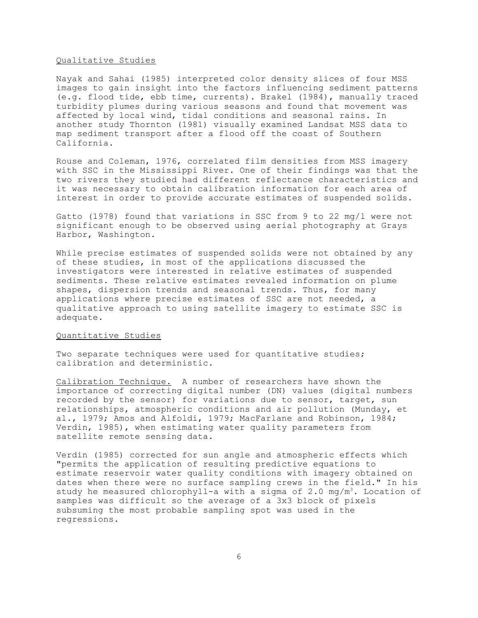#### Qualitative Studies

Nayak and Sahai (1985) interpreted color density slices of four MSS images to gain insight into the factors influencing sediment patterns (e.g. flood tide, ebb time, currents). Brakel (1984), manually traced turbidity plumes during various seasons and found that movement was affected by local wind, tidal conditions and seasonal rains. In another study Thornton (1981) visually examined Landsat MSS data to map sediment transport after a flood off the coast of Southern California.

Rouse and Coleman, 1976, correlated film densities from MSS imagery with SSC in the Mississippi River. One of their findings was that the two rivers they studied had different reflectance characteristics and it was necessary to obtain calibration information for each area of interest in order to provide accurate estimates of suspended solids.

Gatto (1978) found that variations in SSC from 9 to 22 mg/l were not significant enough to be observed using aerial photography at Grays Harbor, Washington.

While precise estimates of suspended solids were not obtained by any of these studies, in most of the applications discussed the investigators were interested in relative estimates of suspended sediments. These relative estimates revealed information on plume shapes, dispersion trends and seasonal trends. Thus, for many applications where precise estimates of SSC are not needed, a qualitative approach to using satellite imagery to estimate SSC is adequate.

# Quantitative Studies

Two separate techniques were used for quantitative studies; calibration and deterministic.

Calibration Technique. A number of researchers have shown the importance of correcting digital number (DN) values (digital numbers recorded by the sensor) for variations due to sensor, target, sun relationships, atmospheric conditions and air pollution (Munday, et al., 1979; Amos and Alfoldi, 1979; MacFarlane and Robinson, 1984; Verdin, 1985), when estimating water quality parameters from satellite remote sensing data.

Verdin (1985) corrected for sun angle and atmospheric effects which "permits the application of resulting predictive equations to estimate reservoir water quality conditions with imagery obtained on dates when there were no surface sampling crews in the field." In his study he measured chlorophyll-a with a sigma of 2.0 mg/m<sup>3</sup>. Location of samples was difficult so the average of a 3x3 block of pixels subsuming the most probable sampling spot was used in the regressions.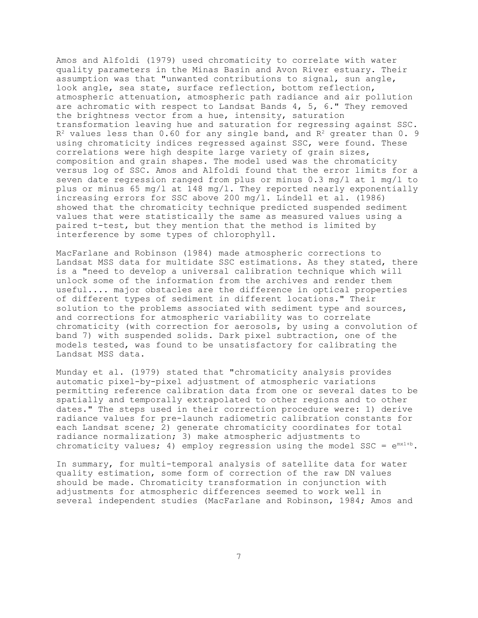Amos and Alfoldi (1979) used chromaticity to correlate with water quality parameters in the Minas Basin and Avon River estuary. Their assumption was that "unwanted contributions to signal, sun angle, look angle, sea state, surface reflection, bottom reflection, atmospheric attenuation, atmospheric path radiance and air pollution are achromatic with respect to Landsat Bands 4, 5, 6." They removed the brightness vector from a hue, intensity, saturation transformation leaving hue and saturation for regressing against SSC.  $R<sup>2</sup>$  values less than 0.60 for any single band, and  $R<sup>2</sup>$  greater than 0.9 using chromaticity indices regressed against SSC, were found. These correlations were high despite large variety of grain sizes, composition and grain shapes. The model used was the chromaticity versus log of SSC. Amos and Alfoldi found that the error limits for a seven date regression ranged from plus or minus 0.3 mg/l at 1 mg/l to plus or minus 65 mg/l at 148 mg/l. They reported nearly exponentially increasing errors for SSC above 200 mg/l. Lindell et al. (1986) showed that the chromaticity technique predicted suspended sediment values that were statistically the same as measured values using a paired t-test, but they mention that the method is limited by interference by some types of chlorophyll.

MacFarlane and Robinson (1984) made atmospheric corrections to Landsat MSS data for multidate SSC estimations. As they stated, there is a "need to develop a universal calibration technique which will unlock some of the information from the archives and render them useful.... major obstacles are the difference in optical properties of different types of sediment in different locations." Their solution to the problems associated with sediment type and sources, and corrections for atmospheric variability was to correlate chromaticity (with correction for aerosols, by using a convolution of band 7) with suspended solids. Dark pixel subtraction, one of the models tested, was found to be unsatisfactory for calibrating the Landsat MSS data.

Munday et al. (1979) stated that "chromaticity analysis provides automatic pixel-by-pixel adjustment of atmospheric variations permitting reference calibration data from one or several dates to be spatially and temporally extrapolated to other regions and to other dates." The steps used in their correction procedure were: 1) derive radiance values for pre-launch radiometric calibration constants for each Landsat scene; 2) generate chromaticity coordinates for total radiance normalization; 3) make atmospheric adjustments to chromaticity values; 4) employ regression using the model SSC =  $e^{mx1+b}$ .

In summary, for multi-temporal analysis of satellite data for water quality estimation, some form of correction of the raw DN values should be made. Chromaticity transformation in conjunction with adjustments for atmospheric differences seemed to work well in several independent studies (MacFarlane and Robinson, 1984; Amos and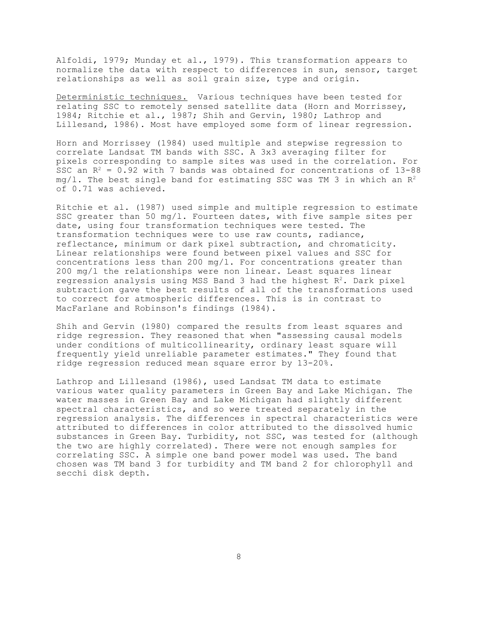Alfoldi, 1979; Munday et al., 1979). This transformation appears to normalize the data with respect to differences in sun, sensor, target relationships as well as soil grain size, type and origin.

Deterministic techniques. Various techniques have been tested for relating SSC to remotely sensed satellite data (Horn and Morrissey, 1984; Ritchie et al., 1987; Shih and Gervin, 1980; Lathrop and Lillesand, 1986). Most have employed some form of linear regression.

Horn and Morrissey (1984) used multiple and stepwise regression to correlate Landsat TM bands with SSC. A 3x3 averaging filter for pixels corresponding to sample sites was used in the correlation. For SSC an  $R^2 = 0.92$  with 7 bands was obtained for concentrations of 13-88 mg/l. The best single band for estimating SSC was TM 3 in which an  $R^2$ of 0.71 was achieved.

Ritchie et al. (1987) used simple and multiple regression to estimate SSC greater than 50 mg/l. Fourteen dates, with five sample sites per date, using four transformation techniques were tested. The transformation techniques were to use raw counts, radiance, reflectance, minimum or dark pixel subtraction, and chromaticity. Linear relationships were found between pixel values and SSC for concentrations less than 200 mg/l. For concentrations greater than 200 mg/l the relationships were non linear. Least squares linear regression analysis using MSS Band 3 had the highest  $R^2$ . Dark pixel subtraction gave the best results of all of the transformations used to correct for atmospheric differences. This is in contrast to MacFarlane and Robinson's findings (1984).

Shih and Gervin (1980) compared the results from least squares and ridge regression. They reasoned that when "assessing causal models under conditions of multicollinearity, ordinary least square will frequently yield unreliable parameter estimates." They found that ridge regression reduced mean square error by 13-20%.

Lathrop and Lillesand (1986), used Landsat TM data to estimate various water quality parameters in Green Bay and Lake Michigan. The water masses in Green Bay and Lake Michigan had slightly different spectral characteristics, and so were treated separately in the regression analysis. The differences in spectral characteristics were attributed to differences in color attributed to the dissolved humic substances in Green Bay. Turbidity, not SSC, was tested for (although the two are highly correlated). There were not enough samples for correlating SSC. A simple one band power model was used. The band chosen was TM band 3 for turbidity and TM band 2 for chlorophyll and secchi disk depth.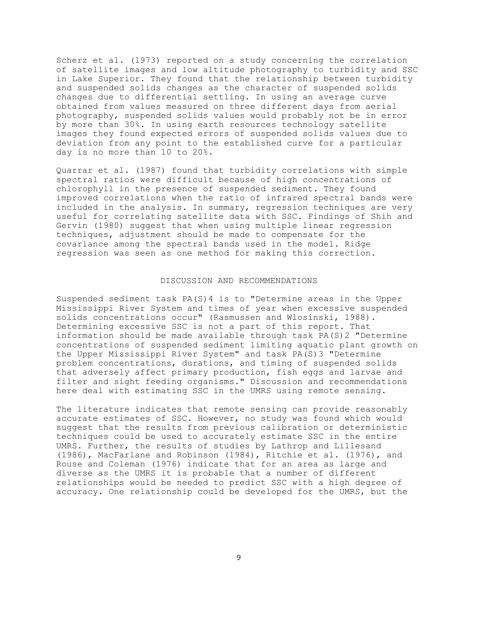Scherz et al. (1973) reported on a study concerning the correlation of satellite images and low altitude photography to turbidity and SSC in Lake Superior. They found that the relationship between turbidity and suspended solids changes as the character of suspended solids changes due to differential settling. In using an average curve obtained from values measured on three different days from aerial photography, suspended solids values would probably not be in error by more than 30%. In using earth resources technology satellite images they found expected errors of suspended solids values due to deviation from any point to the established curve for a particular day is no more than 10 to 20%.

Quarrar et al. (1987) found that turbidity correlations with simple spectral ratios were difficult because of high concentrations of chlorophyll in the presence of suspended sediment. They found improved correlations when the ratio of infrared spectral bands were included in the analysis. In summary, regression techniques are very useful for correlating satellite data with SSC. Findings of Shih and Gervin (1980) suggest that when using multiple linear regression techniques, adjustment should be made to compensate for the covariance among the spectral bands used in the model. Ridge regression was seen as one method for making this correction.

#### DISCUSSION AND RECOMMENDATIONS

Suspended sediment task PA(S)4 is to "Determine areas in the Upper Mississippi River System and times of year when excessive suspended solids concentrations occur" (Rasmussen and Wlosinski, 1988). Determining excessive SSC is not a part of this report. That information should be made available through task PA(S)2 "Determine concentrations of suspended sediment limiting aquatic plant growth on the Upper Mississippi River System" and task PA(S)3 "Determine problem concentrations, durations, and timing of suspended solids that adversely affect primary production, fish eggs and larvae and filter and sight feeding organisms." Discussion and recommendations here deal with estimating SSC in the UMRS using remote sensing.

The literature indicates that remote sensing can provide reasonably accurate estimates of SSC. However, no study was found which would suggest that the results from previous calibration or deterministic techniques could be used to accurately estimate SSC in the entire UMRS. Further, the results of studies by Lathrop and Lillesand (1986), MacFarlane and Robinson (1984), Ritchie et al. (1976), and Rouse and Coleman (1976) indicate that for an area as large and diverse as the UMRS it is probable that a number of different relationships would be needed to predict SSC with a high degree of accuracy. One relationship could be developed for the UMRS, but the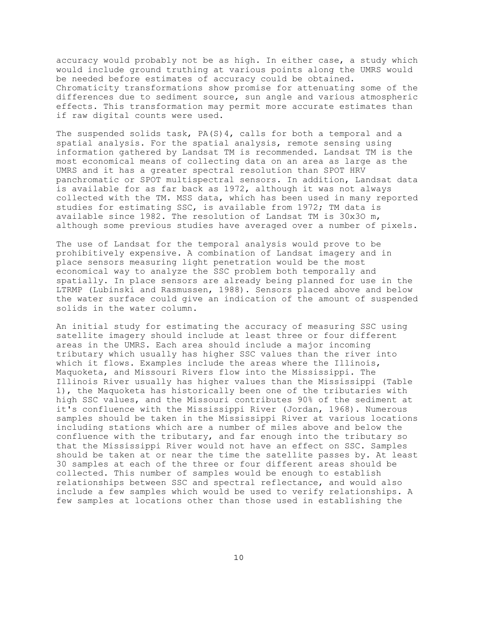accuracy would probably not be as high. In either case, a study which would include ground truthing at various points along the UMRS would be needed before estimates of accuracy could be obtained. Chromaticity transformations show promise for attenuating some of the differences due to sediment source, sun angle and various atmospheric effects. This transformation may permit more accurate estimates than if raw digital counts were used.

The suspended solids task, PA(S)4, calls for both a temporal and a spatial analysis. For the spatial analysis, remote sensing using information gathered by Landsat TM is recommended. Landsat TM is the most economical means of collecting data on an area as large as the UMRS and it has a greater spectral resolution than SPOT HRV panchromatic or SPOT multispectral sensors. In addition, Landsat data is available for as far back as 1972, although it was not always collected with the TM. MSS data, which has been used in many reported studies for estimating SSC, is available from 1972; TM data is available since 1982. The resolution of Landsat TM is 30x3O m, although some previous studies have averaged over a number of pixels.

The use of Landsat for the temporal analysis would prove to be prohibitively expensive. A combination of Landsat imagery and in place sensors measuring light penetration would be the most economical way to analyze the SSC problem both temporally and spatially. In place sensors are already being planned for use in the LTRMP (Lubinski and Rasmussen, 1988). Sensors placed above and below the water surface could give an indication of the amount of suspended solids in the water column.

An initial study for estimating the accuracy of measuring SSC using satellite imagery should include at least three or four different areas in the UMRS. Each area should include a major incoming tributary which usually has higher SSC values than the river into which it flows. Examples include the areas where the Illinois, Maquoketa, and Missouri Rivers flow into the Mississippi. The Illinois River usually has higher values than the Mississippi (Table 1), the Maquoketa has historically been one of the tributaries with high SSC values, and the Missouri contributes 90% of the sediment at it's confluence with the Mississippi River (Jordan, 1968). Numerous samples should be taken in the Mississippi River at various locations including stations which are a number of miles above and below the confluence with the tributary, and far enough into the tributary so that the Mississippi River would not have an effect on SSC. Samples should be taken at or near the time the satellite passes by. At least 30 samples at each of the three or four different areas should be collected. This number of samples would be enough to establish relationships between SSC and spectral reflectance, and would also include a few samples which would be used to verify relationships. A few samples at locations other than those used in establishing the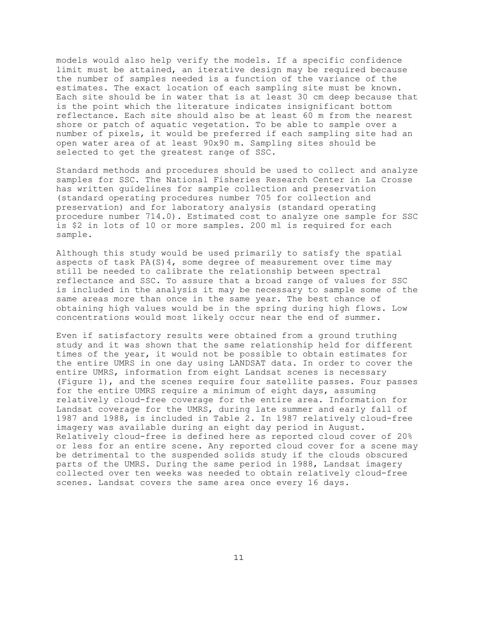models would also help verify the models. If a specific confidence limit must be attained, an iterative design may be required because the number of samples needed is a function of the variance of the estimates. The exact location of each sampling site must be known. Each site should be in water that is at least 30 cm deep because that is the point which the literature indicates insignificant bottom reflectance. Each site should also be at least 60 m from the nearest shore or patch of aquatic vegetation. To be able to sample over a number of pixels, it would be preferred if each sampling site had an open water area of at least 90x90 m. Sampling sites should be selected to get the greatest range of SSC.

Standard methods and procedures should be used to collect and analyze samples for SSC. The National Fisheries Research Center in La Crosse has written guidelines for sample collection and preservation (standard operating procedures number 705 for collection and preservation) and for laboratory analysis (standard operating procedure number 714.0). Estimated cost to analyze one sample for SSC is \$2 in lots of 10 or more samples. 200 ml is required for each sample.

Although this study would be used primarily to satisfy the spatial aspects of task  $PA(S)$ 4, some degree of measurement over time may still be needed to calibrate the relationship between spectral reflectance and SSC. To assure that a broad range of values for SSC is included in the analysis it may be necessary to sample some of the same areas more than once in the same year. The best chance of obtaining high values would be in the spring during high flows. Low concentrations would most likely occur near the end of summer.

Even if satisfactory results were obtained from a ground truthing study and it was shown that the same relationship held for different times of the year, it would not be possible to obtain estimates for the entire UMRS in one day using LANDSAT data. In order to cover the entire UMRS, information from eight Landsat scenes is necessary (Figure 1), and the scenes require four satellite passes. Four passes for the entire UMRS require a minimum of eight days, assuming relatively cloud-free coverage for the entire area. Information for Landsat coverage for the UMRS, during late summer and early fall of 1987 and 1988, is included in Table 2. In 1987 relatively cloud-free imagery was available during an eight day period in August. Relatively cloud-free is defined here as reported cloud cover of 20% or less for an entire scene. Any reported cloud cover for a scene may be detrimental to the suspended solids study if the clouds obscured parts of the UMRS. During the same period in 1988, Landsat imagery collected over ten weeks was needed to obtain relatively cloud-free scenes. Landsat covers the same area once every 16 days.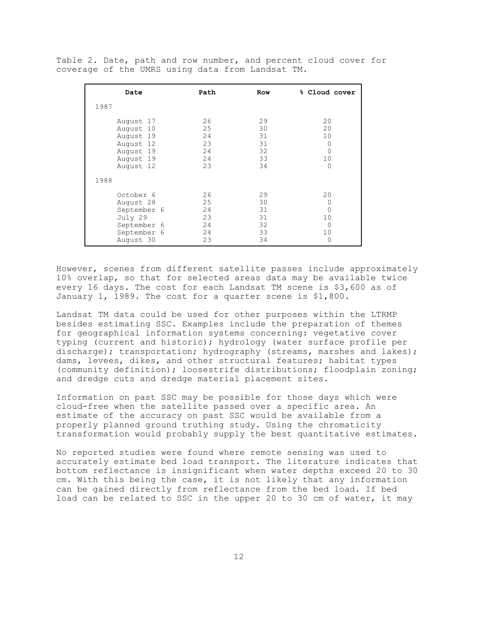Table 2. Date, path and row number, and percent cloud cover for coverage of the UMRS using data from Landsat TM.

| Date                                                                                        | Path                                   | Row                                    | % Cloud cover                                            |
|---------------------------------------------------------------------------------------------|----------------------------------------|----------------------------------------|----------------------------------------------------------|
| 1987                                                                                        |                                        |                                        |                                                          |
| August 17<br>August 10<br>August 19<br>August 12<br>August 19<br>August 19<br>August 12     | 26<br>25<br>24<br>23<br>24<br>24<br>23 | 29<br>30<br>31<br>31<br>32<br>33<br>34 | 20<br>20<br>10<br>$\Omega$<br>$\Omega$<br>10<br>$\Omega$ |
| 1988                                                                                        |                                        |                                        |                                                          |
| October 6<br>August 28<br>September 6<br>July 29<br>September 6<br>September 6<br>August 30 | 26<br>25<br>24<br>23<br>24<br>24<br>23 | 29<br>30<br>31<br>31<br>32<br>33<br>34 | 20<br>0<br>$\Omega$<br>10<br>$\Omega$<br>10<br>$\Omega$  |

However, scenes from different satellite passes include approximately 10% overlap, so that for selected areas data may be available twice every 16 days. The cost for each Landsat TM scene is \$3,600 as of January 1, 1989. The cost for a quarter scene is \$1,800.

Landsat TM data could be used for other purposes within the LTRMP besides estimating SSC. Examples include the preparation of themes for geographical information systems concerning: vegetative cover typing (current and historic); hydrology (water surface profile per discharge); transportation; hydrography (streams, marshes and lakes); dams, levees, dikes, and other structural features; habitat types (community definition); loosestrife distributions; floodplain zoning; and dredge cuts and dredge material placement sites.

Information on past SSC may be possible for those days which were cloud-free when the satellite passed over a specific area. An estimate of the accuracy on past SSC would be available from a properly planned ground truthing study. Using the chromaticity transformation would probably supply the best quantitative estimates.

No reported studies were found where remote sensing was used to accurately estimate bed load transport. The literature indicates that bottom reflectance is insignificant when water depths exceed 20 to 30 cm. With this being the case, it is not likely that any information can be gained directly from reflectance from the bed load. If bed load can be related to SSC in the upper 20 to 30 cm of water, it may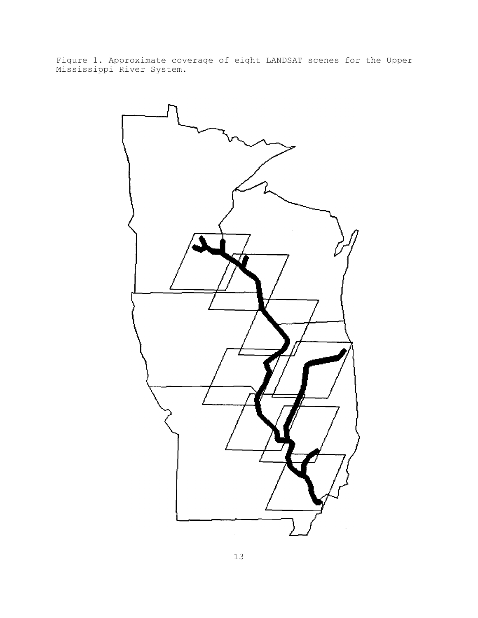Figure 1. Approximate coverage of eight LANDSAT scenes for the Upper Mississippi River System.

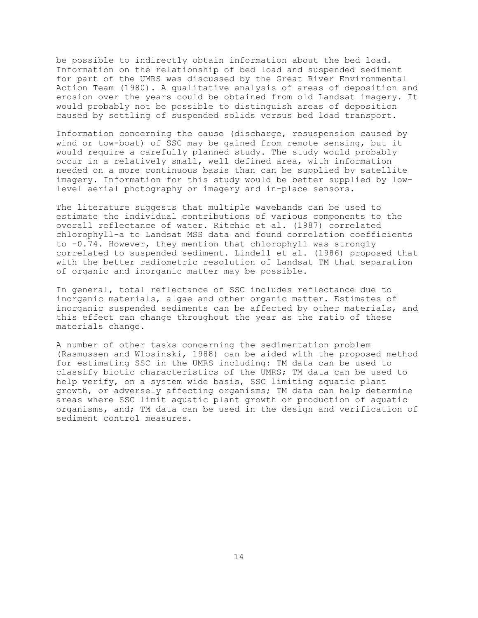be possible to indirectly obtain information about the bed load. Information on the relationship of bed load and suspended sediment for part of the UMRS was discussed by the Great River Environmental Action Team (1980). A qualitative analysis of areas of deposition and erosion over the years could be obtained from old Landsat imagery. It would probably not be possible to distinguish areas of deposition caused by settling of suspended solids versus bed load transport.

Information concerning the cause (discharge, resuspension caused by wind or tow-boat) of SSC may be gained from remote sensing, but it would require a carefully planned study. The study would probably occur in a relatively small, well defined area, with information needed on a more continuous basis than can be supplied by satellite imagery. Information for this study would be better supplied by lowlevel aerial photography or imagery and in-place sensors.

The literature suggests that multiple wavebands can be used to estimate the individual contributions of various components to the overall reflectance of water. Ritchie et al. (1987) correlated chlorophyll-a to Landsat MSS data and found correlation coefficients to -0.74. However, they mention that chlorophyll was strongly correlated to suspended sediment. Lindell et al. (1986) proposed that with the better radiometric resolution of Landsat TM that separation of organic and inorganic matter may be possible.

In general, total reflectance of SSC includes reflectance due to inorganic materials, algae and other organic matter. Estimates of inorganic suspended sediments can be affected by other materials, and this effect can change throughout the year as the ratio of these materials change.

A number of other tasks concerning the sedimentation problem (Rasmussen and Wlosinski, 1988) can be aided with the proposed method for estimating SSC in the UMRS including: TM data can be used to classify biotic characteristics of the UMRS; TM data can be used to help verify, on a system wide basis, SSC limiting aquatic plant growth, or adversely affecting organisms; TM data can help determine areas where SSC limit aquatic plant growth or production of aquatic organisms, and; TM data can be used in the design and verification of sediment control measures.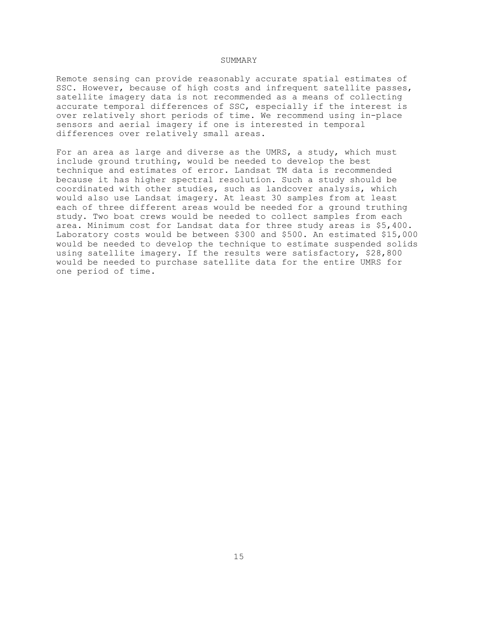# SUMMARY

Remote sensing can provide reasonably accurate spatial estimates of SSC. However, because of high costs and infrequent satellite passes, satellite imagery data is not recommended as a means of collecting accurate temporal differences of SSC, especially if the interest is over relatively short periods of time. We recommend using in-place sensors and aerial imagery if one is interested in temporal differences over relatively small areas.

For an area as large and diverse as the UMRS, a study, which must include ground truthing, would be needed to develop the best technique and estimates of error. Landsat TM data is recommended because it has higher spectral resolution. Such a study should be coordinated with other studies, such as landcover analysis, which would also use Landsat imagery. At least 30 samples from at least each of three different areas would be needed for a ground truthing study. Two boat crews would be needed to collect samples from each area. Minimum cost for Landsat data for three study areas is \$5,400. Laboratory costs would be between \$300 and \$500. An estimated \$15,000 would be needed to develop the technique to estimate suspended solids using satellite imagery. If the results were satisfactory, \$28,800 would be needed to purchase satellite data for the entire UMRS for one period of time.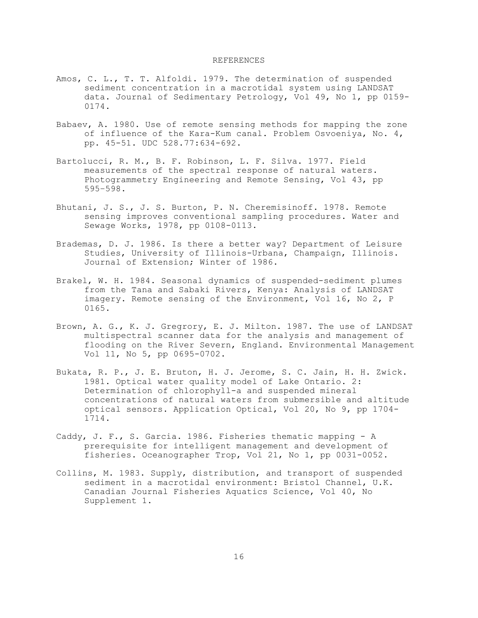# REFERENCES

- Amos, C. L., T. T. Alfoldi. 1979. The determination of suspended sediment concentration in a macrotidal system using LANDSAT data. Journal of Sedimentary Petrology, Vol 49, No 1, pp 0159- 0174.
- Babaev, A. 1980. Use of remote sensing methods for mapping the zone of influence of the Kara-Kum canal. Problem Osvoeniya, No. 4, pp. 45-51. UDC 528.77:634-692.
- Bartolucci, R. M., B. F. Robinson, L. F. Silva. 1977. Field measurements of the spectral response of natural waters. Photogrammetry Engineering and Remote Sensing, Vol 43, pp 595–598.
- Bhutani, J. S., J. S. Burton, P. N. Cheremisinoff. 1978. Remote sensing improves conventional sampling procedures. Water and Sewage Works, 1978, pp 0108-0113.
- Brademas, D. J. 1986. Is there a better way? Department of Leisure Studies, University of Illinois-Urbana, Champaign, Illinois. Journal of Extension; Winter of 1986.
- Brakel, W. H. 1984. Seasonal dynamics of suspended-sediment plumes from the Tana and Sabaki Rivers, Kenya: Analysis of LANDSAT imagery. Remote sensing of the Environment, Vol 16, No 2, P 0165.
- Brown, A. G., K. J. Gregrory, E. J. Milton. 1987. The use of LANDSAT multispectral scanner data for the analysis and management of flooding on the River Severn, England. Environmental Management Vol 11, No 5, pp 0695-0702.
- Bukata, R. P., J. E. Bruton, H. J. Jerome, S. C. Jain, H. H. Zwick. 1981. Optical water quality model of Lake Ontario. 2: Determination of chlorophyll-a and suspended mineral concentrations of natural waters from submersible and altitude optical sensors. Application Optical, Vol 20, No 9, pp 1704- 1714.
- Caddy, J. F., S. Garcia. 1986. Fisheries thematic mapping A prerequisite for intelligent management and development of fisheries. Oceanographer Trop, Vol 21, No 1, pp 0031-0052.
- Collins, M. 1983. Supply, distribution, and transport of suspended sediment in a macrotidal environment: Bristol Channel, U.K. Canadian Journal Fisheries Aquatics Science, Vol 40, No Supplement 1.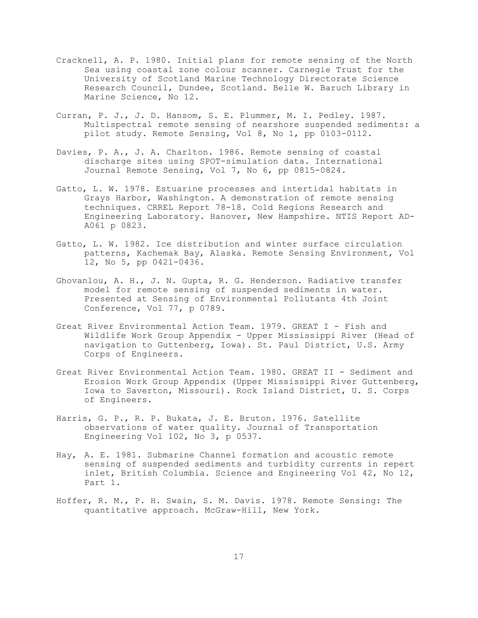- Cracknell, A. P. 1980. Initial plans for remote sensing of the North Sea using coastal zone colour scanner. Carnegie Trust for the University of Scotland Marine Technology Directorate Science Research Council, Dundee, Scotland. Belle W. Baruch Library in Marine Science, No 12.
- Curran, P. J., J. D. Hansom, S. E. Plummer, M. I. Pedley. 1987. Multispectral remote sensing of nearshore suspended sediments: a pilot study. Remote Sensing, Vol 8, No 1, pp 0103-0112.
- Davies, P. A., J. A. Charlton. 1986. Remote sensing of coastal discharge sites using SPOT-simulation data. International Journal Remote Sensing, Vol 7, No 6, pp 0815-0824.
- Gatto, L. W. 1978. Estuarine processes and intertidal habitats in Grays Harbor, Washington. A demonstration of remote sensing techniques. CRREL Report 78-18. Cold Regions Research and Engineering Laboratory. Hanover, New Hampshire. NTIS Report AD-A061 p 0823.
- Gatto, L. W. 1982. Ice distribution and winter surface circulation patterns, Kachemak Bay, Alaska. Remote Sensing Environment, Vol 12, No 5, pp 0421-0436.
- Ghovanlou, A. H., J. N. Gupta, R. G. Henderson. Radiative transfer model for remote sensing of suspended sediments in water. Presented at Sensing of Environmental Pollutants 4th Joint Conference, Vol 77, p 0789.
- Great River Environmental Action Team. 1979. GREAT I Fish and Wildlife Work Group Appendix - Upper Mississippi River (Head of navigation to Guttenberg, Iowa). St. Paul District, U.S. Army Corps of Engineers.
- Great River Environmental Action Team. 1980. GREAT II Sediment and Erosion Work Group Appendix (Upper Mississippi River Guttenberg, Iowa to Saverton, Missouri). Rock Island District, U. S. Corps of Engineers.
- Harris, G. P., R. P. Bukata, J. E. Bruton. 1976. Satellite observations of water quality. Journal of Transportation Engineering Vol 102, No 3, p 0537.
- Hay, A. E. 1981. Submarine Channel formation and acoustic remote sensing of suspended sediments and turbidity currents in repert inlet, British Columbia. Science and Engineering Vol 42, No 12, Part 1.
- Hoffer, R. M., P. H. Swain, S. M. Davis. 1978. Remote Sensing: The quantitative approach. McGraw-Hill, New York.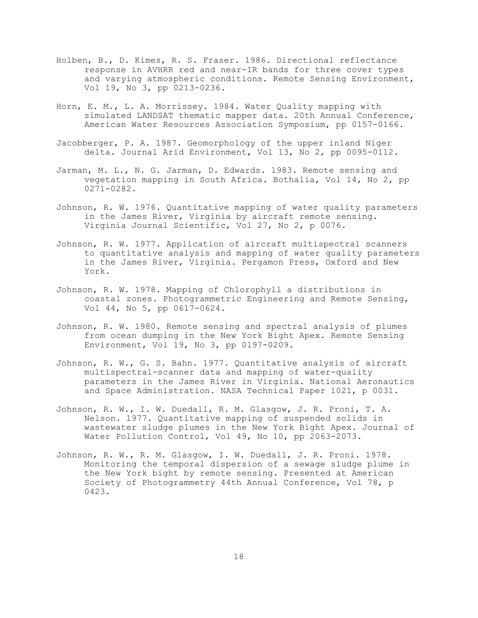- Holben, B., D. Kimes, R. S. Fraser. 1986. Directional reflectance response in AVHRR red and near-IR bands for three cover types and varying atmospheric conditions. Remote Sensing Environment, Vol 19, No 3, pp 0213-0236.
- Horn, E. M., L. A. Morrissey. 1984. Water Quality mapping with simulated LANDSAT thematic mapper data. 20th Annual Conference, American Water Resources Association Symposium, pp 0157-0166.
- Jacobberger, P. A. 1987. Geomorphology of the upper inland Niger delta. Journal Arid Environment, Vol 13, No 2, pp 0095-0112.
- Jarman, M. L., N. G. Jarman, D. Edwards. 1983. Remote sensing and vegetation mapping in South Africa. Bothalia, Vol 14, No 2, pp 0271-0282.
- Johnson, R. W. 1976. Quantitative mapping of water quality parameters in the James River, Virginia by aircraft remote sensing. Virginia Journal Scientific, Vol 27, No 2, p 0076.
- Johnson, R. W. 1977. Application of aircraft multispectral scanners to quantitative analysis and mapping of water quality parameters in the James River, Virginia. Pergamon Press, Oxford and New York.
- Johnson, R. W. 1978. Mapping of Chlorophyll a distributions in coastal zones. Photogrammetric Engineering and Remote Sensing, Vol 44, No 5, pp 0617-0624.
- Johnson, R. W. 1980. Remote sensing and spectral analysis of plumes from ocean dumping in the New York Bight Apex. Remote Sensing Environment, Vol 19, No 3, pp 0197-0209.
- Johnson, R. W., G. S. Bahn. 1977. Quantitative analysis of aircraft multispectral-scanner data and mapping of water-quality parameters in the James River in Virginia. National Aeronautics and Space Administration. NASA Technical Paper 1021, p 0031.
- Johnson, R. W., I. W. Duedall, R. M. Glasgow, J. R. Proni, T. A. Nelson. 1977. Quantitative mapping of suspended solids in wastewater sludge plumes in the New York Bight Apex. Journal of Water Pollution Control, Vol 49, No 10, pp 2063-2073.
- Johnson, R. W., R. M. Glasgow, I. W. Duedall, J. R. Proni. 1978. Monitoring the temporal dispersion of a sewage sludge plume in the New York bight by remote sensing. Presented at American Society of Photogrammetry 44th Annual Conference, Vol 78, p 0423.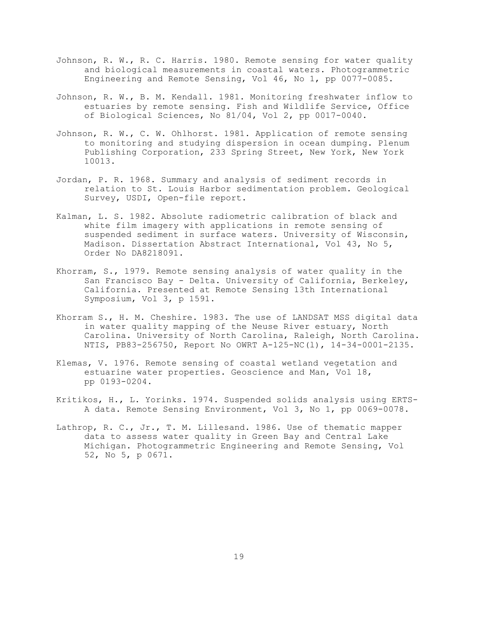- Johnson, R. W., R. C. Harris. 1980. Remote sensing for water quality and biological measurements in coastal waters. Photogrammetric Engineering and Remote Sensing, Vol 46, No 1, pp 0077-0085.
- Johnson, R. W., B. M. Kendall. 1981. Monitoring freshwater inflow to estuaries by remote sensing. Fish and Wildlife Service, Office of Biological Sciences, No 81/04, Vol 2, pp 0017-0040.
- Johnson, R. W., C. W. Ohlhorst. 1981. Application of remote sensing to monitoring and studying dispersion in ocean dumping. Plenum Publishing Corporation, 233 Spring Street, New York, New York 10013.
- Jordan, P. R. 1968. Summary and analysis of sediment records in relation to St. Louis Harbor sedimentation problem. Geological Survey, USDI, Open-file report.
- Kalman, L. S. 1982. Absolute radiometric calibration of black and white film imagery with applications in remote sensing of suspended sediment in surface waters. University of Wisconsin, Madison. Dissertation Abstract International, Vol 43, No 5, Order No DA8218091.
- Khorram, S., 1979. Remote sensing analysis of water quality in the San Francisco Bay - Delta. University of California, Berkeley, California. Presented at Remote Sensing 13th International Symposium, Vol 3, p 1591.
- Khorram S., H. M. Cheshire. 1983. The use of LANDSAT MSS digital data in water quality mapping of the Neuse River estuary, North Carolina. University of North Carolina, Raleigh, North Carolina. NTIS, PB83-256750, Report No OWRT A-125-NC(l), 14-34-0001-2135.
- Klemas, V. 1976. Remote sensing of coastal wetland vegetation and estuarine water properties. Geoscience and Man, Vol 18, pp 0193-0204.
- Kritikos, H., L. Yorinks. 1974. Suspended solids analysis using ERTS-A data. Remote Sensing Environment, Vol 3, No 1, pp 0069-0078.
- Lathrop, R. C., Jr., T. M. Lillesand. 1986. Use of thematic mapper data to assess water quality in Green Bay and Central Lake Michigan. Photogrammetric Engineering and Remote Sensing, Vol 52, No 5, p 0671.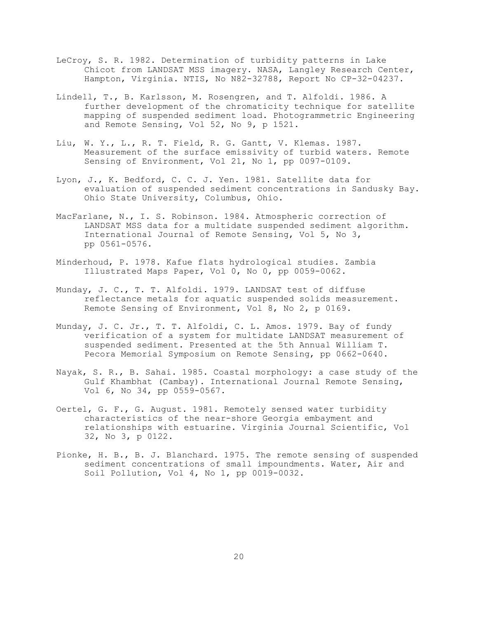- LeCroy, S. R. 1982. Determination of turbidity patterns in Lake Chicot from LANDSAT MSS imagery. NASA, Langley Research Center, Hampton, Virginia. NTIS, No N82-32788, Report No CP-32-04237.
- Lindell, T., B. Karlsson, M. Rosengren, and T. Alfoldi. 1986. A further development of the chromaticity technique for satellite mapping of suspended sediment load. Photogrammetric Engineering and Remote Sensing, Vol 52, No 9, p 1521.
- Liu, W. Y., L., R. T. Field, R. G. Gantt, V. Klemas. 1987. Measurement of the surface emissivity of turbid waters. Remote Sensing of Environment, Vol 21, No 1, pp 0097-0109.
- Lyon, J., K. Bedford, C. C. J. Yen. 1981. Satellite data for evaluation of suspended sediment concentrations in Sandusky Bay. Ohio State University, Columbus, Ohio.
- MacFarlane, N., I. S. Robinson. 1984. Atmospheric correction of LANDSAT MSS data for a multidate suspended sediment algorithm. International Journal of Remote Sensing, Vol 5, No 3, pp 0561-0576.
- Minderhoud, P. 1978. Kafue flats hydrological studies. Zambia Illustrated Maps Paper, Vol 0, No 0, pp 0059-0062.
- Munday, J. C., T. T. Alfoldi. 1979. LANDSAT test of diffuse reflectance metals for aquatic suspended solids measurement. Remote Sensing of Environment, Vol 8, No 2, p 0169.
- Munday, J. C. Jr., T. T. Alfoldi, C. L. Amos. 1979. Bay of fundy verification of a system for multidate LANDSAT measurement of suspended sediment. Presented at the 5th Annual William T. Pecora Memorial Symposium on Remote Sensing, pp 0662-0640.
- Nayak, S. R., B. Sahai. 1985. Coastal morphology: a case study of the Gulf Khambhat (Cambay). International Journal Remote Sensing, Vol 6, No 34, pp 0559-0567.
- Oertel, G. F., G. August. 1981. Remotely sensed water turbidity characteristics of the near-shore Georgia embayment and relationships with estuarine. Virginia Journal Scientific, Vol 32, No 3, p 0122.
- Pionke, H. B., B. J. Blanchard. 1975. The remote sensing of suspended sediment concentrations of small impoundments. Water, Air and Soil Pollution, Vol 4, No 1, pp 0019-0032.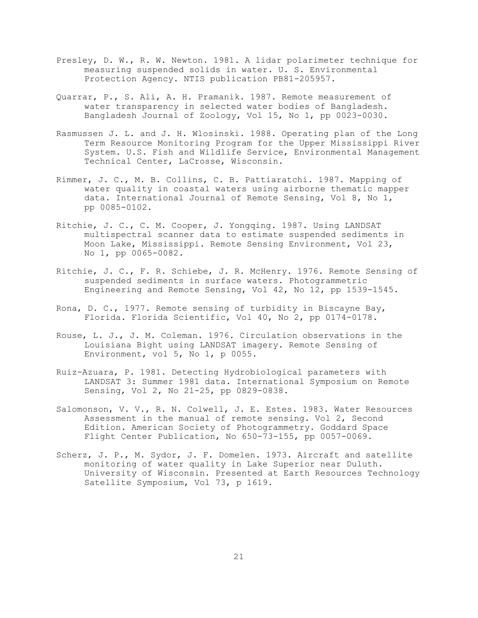- Presley, D. W., R. W. Newton. 1981. A lidar polarimeter technique for measuring suspended solids in water. U. S. Environmental Protection Agency. NTIS publication PB81-205957.
- Quarrar, P., S. Ali, A. H. Pramanik. 1987. Remote measurement of water transparency in selected water bodies of Bangladesh. Bangladesh Journal of Zoology, Vol 15, No 1, pp 0023-0030.
- Rasmussen J. L. and J. H. Wlosinski. 1988. Operating plan of the Long Term Resource Monitoring Program for the Upper Mississippi River System. U.S. Fish and Wildlife Service, Environmental Management Technical Center, LaCrosse, Wisconsin.
- Rimmer, J. C., M. B. Collins, C. B. Pattiaratchi. 1987. Mapping of water quality in coastal waters using airborne thematic mapper data. International Journal of Remote Sensing, Vol 8, No 1, pp 0085-0102.
- Ritchie, J. C., C. M. Cooper, J. Yongqing. 1987. Using LANDSAT multispectral scanner data to estimate suspended sediments in Moon Lake, Mississippi. Remote Sensing Environment, Vol 23, No 1, pp 0065-0082.
- Ritchie, J. C., F. R. Schiebe, J. R. McHenry. 1976. Remote Sensing of suspended sediments in surface waters. Photogrammetric Engineering and Remote Sensing, Vol 42, No 12, pp 1539-1545.
- Rona, D. C., 1977. Remote sensing of turbidity in Biscayne Bay, Florida. Florida Scientific, Vol 40, No 2, pp 0174-0178.
- Rouse, L. J., J. M. Coleman. 1976. Circulation observations in the Louisiana Bight using LANDSAT imagery. Remote Sensing of Environment, vol 5, No 1, p 0055.
- Ruiz-Azuara, P. 1981. Detecting Hydrobiological parameters with LANDSAT 3: Summer 1981 data. International Symposium on Remote Sensing, Vol 2, No 21-25, pp 0829-0838.
- Salomonson, V. V., R. N. Colwell, J. E. Estes. 1983. Water Resources Assessment in the manual of remote sensing. Vol 2, Second Edition. American Society of Photogrammetry. Goddard Space Flight Center Publication, No 650-73-155, pp 0057-0069.
- Scherz, J. P., M. Sydor, J. F. Domelen. 1973. Aircraft and satellite monitoring of water quality in Lake Superior near Duluth. University of Wisconsin. Presented at Earth Resources Technology Satellite Symposium, Vol 73, p 1619.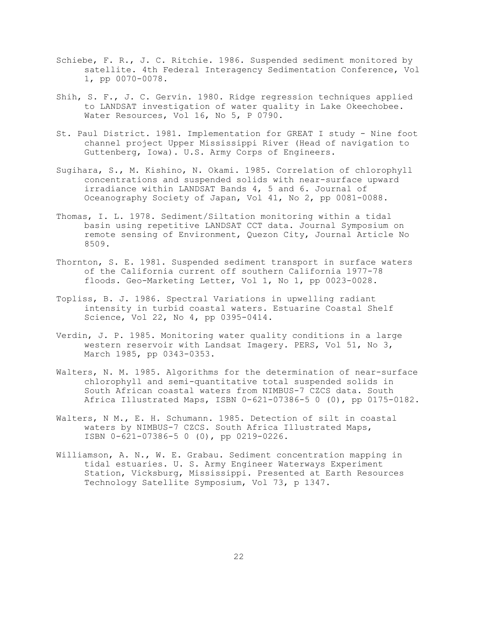- Schiebe, F. R., J. C. Ritchie. 1986. Suspended sediment monitored by satellite. 4th Federal Interagency Sedimentation Conference, Vol 1, pp 0070-0078.
- Shih, S. F., J. C. Gervin. 1980. Ridge regression techniques applied to LANDSAT investigation of water quality in Lake Okeechobee. Water Resources, Vol 16, No 5, P 0790.
- St. Paul District. 1981. Implementation for GREAT I study Nine foot channel project Upper Mississippi River (Head of navigation to Guttenberg, Iowa). U.S. Army Corps of Engineers.
- Sugihara, S., M. Kishino, N. Okami. 1985. Correlation of chlorophyll concentrations and suspended solids with near-surface upward irradiance within LANDSAT Bands 4, 5 and 6. Journal of Oceanography Society of Japan, Vol 41, No 2, pp 0081-0088.
- Thomas, I. L. 1978. Sediment/Siltation monitoring within a tidal basin using repetitive LANDSAT CCT data. Journal Symposium on remote sensing of Environment, Quezon City, Journal Article No 8509.
- Thornton, S. E. 1981. Suspended sediment transport in surface waters of the California current off southern California 1977-78 floods. Geo-Marketing Letter, Vol 1, No 1, pp 0023-0028.
- Topliss, B. J. 1986. Spectral Variations in upwelling radiant intensity in turbid coastal waters. Estuarine Coastal Shelf Science, Vol 22, No 4, pp 0395-0414.
- Verdin, J. P. 1985. Monitoring water quality conditions in a large western reservoir with Landsat Imagery. PERS, Vol 51, No 3, March 1985, pp 0343-0353.
- Walters, N. M. 1985. Algorithms for the determination of near-surface chlorophyll and semi-quantitative total suspended solids in South African coastal waters from NIMBUS-7 CZCS data. South Africa Illustrated Maps, ISBN 0-621-07386-5 0 (0), pp 0175-0182.
- Walters, N M., E. H. Schumann. 1985. Detection of silt in coastal waters by NIMBUS-7 CZCS. South Africa Illustrated Maps, ISBN 0-621-07386-5 0 (0), pp 0219-0226.
- Williamson, A. N., W. E. Grabau. Sediment concentration mapping in tidal estuaries. U. S. Army Engineer Waterways Experiment Station, Vicksburg, Mississippi. Presented at Earth Resources Technology Satellite Symposium, Vol 73, p 1347.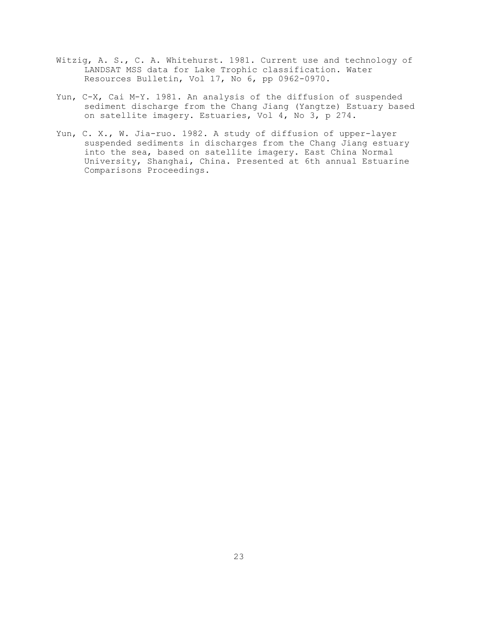- Witzig, A. S., C. A. Whitehurst. 1981. Current use and technology of LANDSAT MSS data for Lake Trophic classification. Water Resources Bulletin, Vol 17, No 6, pp 0962-0970.
- Yun, C-X, Cai M-Y. 1981. An analysis of the diffusion of suspended sediment discharge from the Chang Jiang (Yangtze) Estuary based on satellite imagery. Estuaries, Vol 4, No 3, p 274.
- Yun, C. X., W. Jia-ruo. 1982. A study of diffusion of upper-layer suspended sediments in discharges from the Chang Jiang estuary into the sea, based on satellite imagery. East China Normal University, Shanghai, China. Presented at 6th annual Estuarine Comparisons Proceedings.